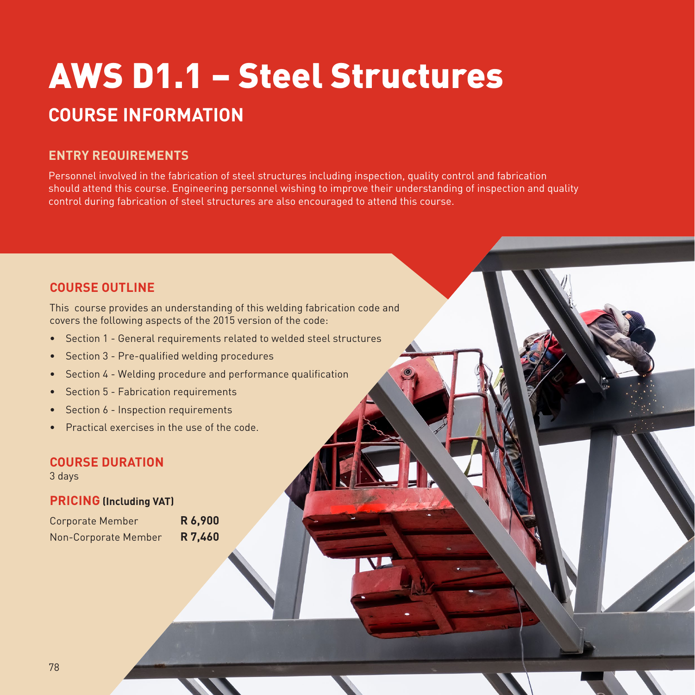# AWS D1.1 – Steel Structures **COURSE INFORMATION**

# **ENTRY REQUIREMENTS**

Personnel involved in the fabrication of steel structures including inspection, quality control and fabrication should attend this course. Engineering personnel wishing to improve their understanding of inspection and quality control during fabrication of steel structures are also encouraged to attend this course.

## **COURSE OUTLINE**

This course provides an understanding of this welding fabrication code and covers the following aspects of the 2015 version of the code:

- Section 1 General requirements related to welded steel structures
- Section 3 Pre-qualified welding procedures
- Section 4 Welding procedure and performance qualification
- Section 5 Fabrication requirements
- Section 6 Inspection requirements
- Practical exercises in the use of the code.

#### **COURSE DURATION**

3 days

### **PRICING (Including VAT)**

| <b>Corporate Member</b> | R 6,900 |
|-------------------------|---------|
| Non-Corporate Member    | R 7,460 |